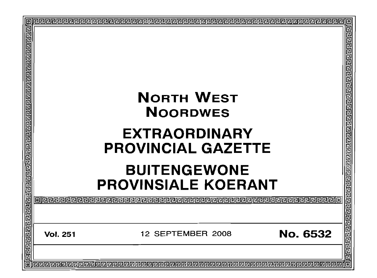|                                                                                                                |                                                   |                                                   |                 | o<br>림 |
|----------------------------------------------------------------------------------------------------------------|---------------------------------------------------|---------------------------------------------------|-----------------|--------|
| वे बाद्य बाद्य बाद्य बाद्य बाद्य बाद्य बाद्य बाद्य बाद्य बाद्य बाद्य बाद्य बाद्य बाद्य बाद्य बाद्य बाद्य बाद्य |                                                   | <b>NORTH WEST</b><br><b>NOORDWES</b>              |                 |        |
|                                                                                                                |                                                   | <b>EXTRAORDINARY</b><br><b>PROVINCIAL GAZETTE</b> |                 |        |
|                                                                                                                | <b>BUITENGEWONE</b><br><b>PROVINSIALE KOERANT</b> |                                                   |                 |        |
|                                                                                                                |                                                   |                                                   | 包               |        |
|                                                                                                                | <b>Vol. 251</b>                                   | 12 SEPTEMBER 2008                                 | <b>No. 6532</b> |        |
|                                                                                                                |                                                   |                                                   |                 |        |